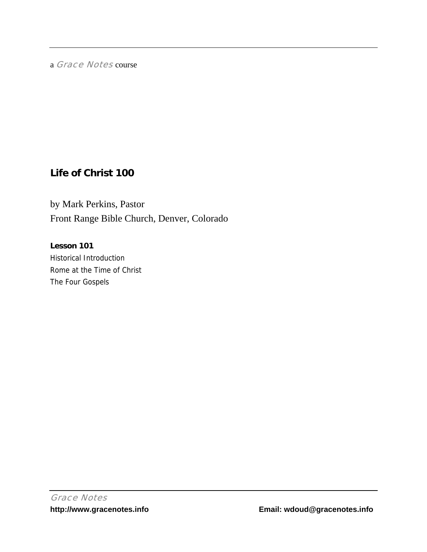a Grace Notes course

# **Life of Christ 100**

by Mark Perkins, Pastor Front Range Bible Church, Denver, Colorado

**Lesson 101**  Historical Introduction Rome at the Time of Christ The Four Gospels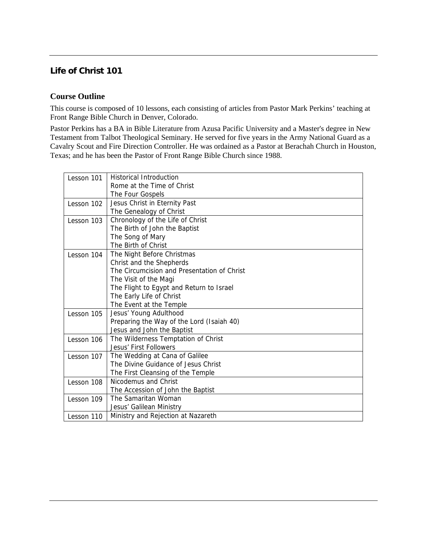## **Life of Christ 101**

## **Course Outline**

This course is composed of 10 lessons, each consisting of articles from Pastor Mark Perkins' teaching at Front Range Bible Church in Denver, Colorado.

Pastor Perkins has a BA in Bible Literature from Azusa Pacific University and a Master's degree in New Testament from Talbot Theological Seminary. He served for five years in the Army National Guard as a Cavalry Scout and Fire Direction Controller. He was ordained as a Pastor at Berachah Church in Houston, Texas; and he has been the Pastor of Front Range Bible Church since 1988.

| Lesson 101 | <b>Historical Introduction</b>              |
|------------|---------------------------------------------|
|            | Rome at the Time of Christ                  |
|            | The Four Gospels                            |
| Lesson 102 | Jesus Christ in Eternity Past               |
|            | The Genealogy of Christ                     |
| Lesson 103 | Chronology of the Life of Christ            |
|            | The Birth of John the Baptist               |
|            | The Song of Mary                            |
|            | The Birth of Christ                         |
| Lesson 104 | The Night Before Christmas                  |
|            | Christ and the Shepherds                    |
|            | The Circumcision and Presentation of Christ |
|            | The Visit of the Magi                       |
|            | The Flight to Egypt and Return to Israel    |
|            | The Early Life of Christ                    |
|            | The Event at the Temple                     |
| Lesson 105 | Jesus' Young Adulthood                      |
|            | Preparing the Way of the Lord (Isaiah 40)   |
|            | Jesus and John the Baptist                  |
| Lesson 106 | The Wilderness Temptation of Christ         |
|            | Jesus' First Followers                      |
| Lesson 107 | The Wedding at Cana of Galilee              |
|            | The Divine Guidance of Jesus Christ         |
|            | The First Cleansing of the Temple           |
| Lesson 108 | Nicodemus and Christ                        |
|            | The Accession of John the Baptist           |
| Lesson 109 | The Samaritan Woman                         |
|            | Jesus' Galilean Ministry                    |
| Lesson 110 | Ministry and Rejection at Nazareth          |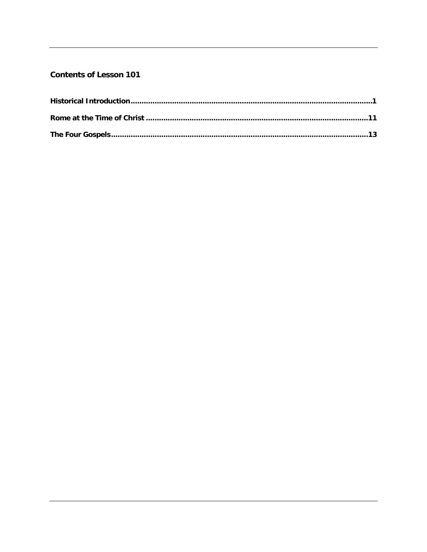## **Contents of Lesson 101**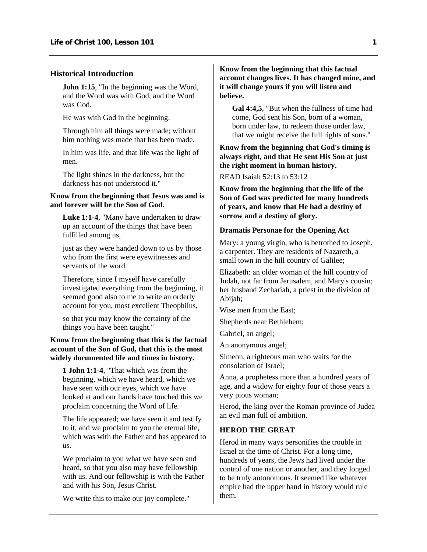#### <span id="page-3-0"></span>**Historical Introduction**

**John 1:15**, "In the beginning was the Word, and the Word was with God, and the Word was God.

He was with God in the beginning.

Through him all things were made; without him nothing was made that has been made.

In him was life, and that life was the light of men.

The light shines in the darkness, but the darkness has not understood it."

## **Know from the beginning that Jesus was and is and forever will be the Son of God.**

**Luke 1:1-4**, "Many have undertaken to draw up an account of the things that have been fulfilled among us,

just as they were handed down to us by those who from the first were eyewitnesses and servants of the word.

Therefore, since I myself have carefully investigated everything from the beginning, it seemed good also to me to write an orderly account for you, most excellent Theophilus,

so that you may know the certainty of the things you have been taught."

## **Know from the beginning that this is the factual account of the Son of God, that this is the most widely documented life and times in history.**

**1 John 1:1-4**, "That which was from the beginning, which we have heard, which we have seen with our eyes, which we have looked at and our hands have touched this we proclaim concerning the Word of life.

The life appeared; we have seen it and testify to it, and we proclaim to you the eternal life, which was with the Father and has appeared to us.

We proclaim to you what we have seen and heard, so that you also may have fellowship with us. And our fellowship is with the Father and with his Son, Jesus Christ.

We write this to make our joy complete."

## **Know from the beginning that this factual account changes lives. It has changed mine, and it will change yours if you will listen and believe.**

**Gal 4:4,5**, "But when the fullness of time had come, God sent his Son, born of a woman, born under law, to redeem those under law, that we might receive the full rights of sons."

**Know from the beginning that God's timing is always right, and that He sent His Son at just the right moment in human history.** 

## READ Isaiah 52:13 to 53:12

**Know from the beginning that the life of the Son of God was predicted for many hundreds of years, and know that He had a destiny of sorrow and a destiny of glory.** 

## **Dramatis Personae for the Opening Act**

Mary: a young virgin, who is betrothed to Joseph, a carpenter. They are residents of Nazareth, a small town in the hill country of Galilee;

Elizabeth: an older woman of the hill country of Judah, not far from Jerusalem, and Mary's cousin; her husband Zechariah, a priest in the division of Abijah;

Wise men from the East;

Shepherds near Bethlehem;

Gabriel, an angel;

An anonymous angel;

Simeon, a righteous man who waits for the consolation of Israel;

Anna, a prophetess more than a hundred years of age, and a widow for eighty four of those years a very pious woman;

Herod, the king over the Roman province of Judea an evil man full of ambition.

#### **HEROD THE GREAT**

Herod in many ways personifies the trouble in Israel at the time of Christ. For a long time, hundreds of years, the Jews had lived under the control of one nation or another, and they longed to be truly autonomous. It seemed like whatever empire had the upper hand in history would rule them.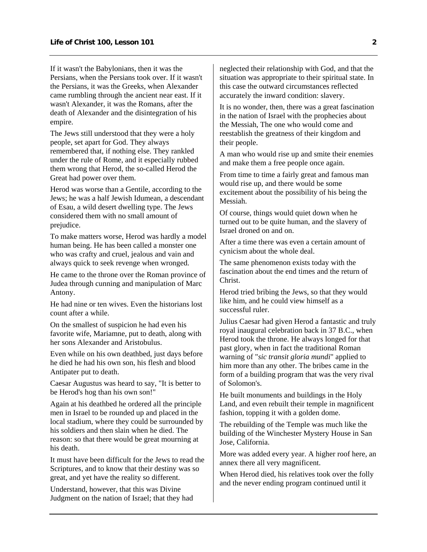If it wasn't the Babylonians, then it was the Persians, when the Persians took over. If it wasn't the Persians, it was the Greeks, when Alexander came rumbling through the ancient near east. If it wasn't Alexander, it was the Romans, after the death of Alexander and the disintegration of his empire.

The Jews still understood that they were a holy people, set apart for God. They always remembered that, if nothing else. They rankled under the rule of Rome, and it especially rubbed them wrong that Herod, the so-called Herod the Great had power over them.

Herod was worse than a Gentile, according to the Jews; he was a half Jewish Idumean, a descendant of Esau, a wild desert dwelling type. The Jews considered them with no small amount of prejudice.

To make matters worse, Herod was hardly a model human being. He has been called a monster one who was crafty and cruel, jealous and vain and always quick to seek revenge when wronged.

He came to the throne over the Roman province of Judea through cunning and manipulation of Marc Antony.

He had nine or ten wives. Even the historians lost count after a while.

On the smallest of suspicion he had even his favorite wife, Mariamne, put to death, along with her sons Alexander and Aristobulus.

Even while on his own deathbed, just days before he died he had his own son, his flesh and blood Antipater put to death.

Caesar Augustus was heard to say, "It is better to be Herod's hog than his own son!"

Again at his deathbed he ordered all the principle men in Israel to be rounded up and placed in the local stadium, where they could be surrounded by his soldiers and then slain when he died. The reason: so that there would be great mourning at his death.

It must have been difficult for the Jews to read the Scriptures, and to know that their destiny was so great, and yet have the reality so different.

Understand, however, that this was Divine Judgment on the nation of Israel; that they had neglected their relationship with God, and that the situation was appropriate to their spiritual state. In this case the outward circumstances reflected accurately the inward condition: slavery.

It is no wonder, then, there was a great fascination in the nation of Israel with the prophecies about the Messiah, The one who would come and reestablish the greatness of their kingdom and their people.

A man who would rise up and smite their enemies and make them a free people once again.

From time to time a fairly great and famous man would rise up, and there would be some excitement about the possibility of his being the Messiah.

Of course, things would quiet down when he turned out to be quite human, and the slavery of Israel droned on and on.

After a time there was even a certain amount of cynicism about the whole deal.

The same phenomenon exists today with the fascination about the end times and the return of Christ.

Herod tried bribing the Jews, so that they would like him, and he could view himself as a successful ruler.

Julius Caesar had given Herod a fantastic and truly royal inaugural celebration back in 37 B.C., when Herod took the throne. He always longed for that past glory, when in fact the traditional Roman warning of "*sic transit gloria mundi*" applied to him more than any other. The bribes came in the form of a building program that was the very rival of Solomon's.

He built monuments and buildings in the Holy Land, and even rebuilt their temple in magnificent fashion, topping it with a golden dome.

The rebuilding of the Temple was much like the building of the Winchester Mystery House in San Jose, California.

More was added every year. A higher roof here, an annex there all very magnificent.

When Herod died, his relatives took over the folly and the never ending program continued until it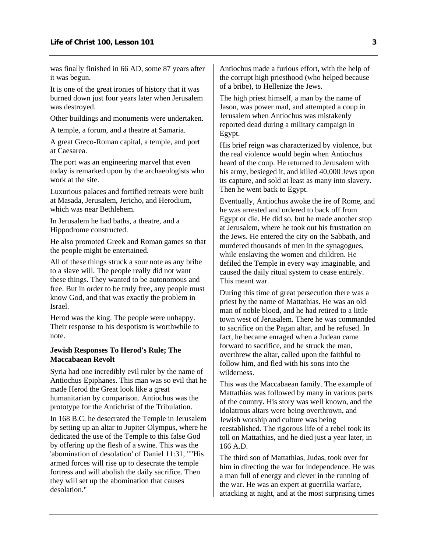was finally finished in 66 AD, some 87 years after it was begun.

It is one of the great ironies of history that it was burned down just four years later when Jerusalem was destroyed.

Other buildings and monuments were undertaken.

A temple, a forum, and a theatre at Samaria.

A great Greco-Roman capital, a temple, and port at Caesarea.

The port was an engineering marvel that even today is remarked upon by the archaeologists who work at the site.

Luxurious palaces and fortified retreats were built at Masada, Jerusalem, Jericho, and Herodium, which was near Bethlehem.

In Jerusalem he had baths, a theatre, and a Hippodrome constructed.

He also promoted Greek and Roman games so that the people might be entertained.

All of these things struck a sour note as any bribe to a slave will. The people really did not want these things. They wanted to be autonomous and free. But in order to be truly free, any people must know God, and that was exactly the problem in Israel.

Herod was the king. The people were unhappy. Their response to his despotism is worthwhile to note.

#### **Jewish Responses To Herod's Rule; The Maccabaean Revolt**

Syria had one incredibly evil ruler by the name of Antiochus Epiphanes. This man was so evil that he made Herod the Great look like a great humanitarian by comparison. Antiochus was the prototype for the Antichrist of the Tribulation.

In 168 B.C. he desecrated the Temple in Jerusalem by setting up an altar to Jupiter Olympus, where he dedicated the use of the Temple to this false God by offering up the flesh of a swine. This was the 'abomination of desolation' of Daniel 11:31, ""His armed forces will rise up to desecrate the temple fortress and will abolish the daily sacrifice. Then they will set up the abomination that causes desolation."

Antiochus made a furious effort, with the help of the corrupt high priesthood (who helped because of a bribe), to Hellenize the Jews.

The high priest himself, a man by the name of Jason, was power mad, and attempted a coup in Jerusalem when Antiochus was mistakenly reported dead during a military campaign in Egypt.

His brief reign was characterized by violence, but the real violence would begin when Antiochus heard of the coup. He returned to Jerusalem with his army, besieged it, and killed 40,000 Jews upon its capture, and sold at least as many into slavery. Then he went back to Egypt.

Eventually, Antiochus awoke the ire of Rome, and he was arrested and ordered to back off from Egypt or die. He did so, but he made another stop at Jerusalem, where he took out his frustration on the Jews. He entered the city on the Sabbath, and murdered thousands of men in the synagogues, while enslaving the women and children. He defiled the Temple in every way imaginable, and caused the daily ritual system to cease entirely. This meant war.

During this time of great persecution there was a priest by the name of Mattathias. He was an old man of noble blood, and he had retired to a little town west of Jerusalem. There he was commanded to sacrifice on the Pagan altar, and he refused. In fact, he became enraged when a Judean came forward to sacrifice, and he struck the man, overthrew the altar, called upon the faithful to follow him, and fled with his sons into the wilderness.

This was the Maccabaean family. The example of Mattathias was followed by many in various parts of the country. His story was well known, and the idolatrous altars were being overthrown, and Jewish worship and culture was being reestablished. The rigorous life of a rebel took its toll on Mattathias, and he died just a year later, in 166 A.D.

The third son of Mattathias, Judas, took over for him in directing the war for independence. He was a man full of energy and clever in the running of the war. He was an expert at guerrilla warfare, attacking at night, and at the most surprising times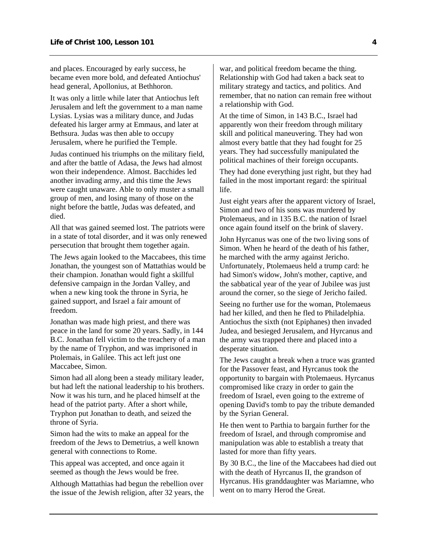and places. Encouraged by early success, he became even more bold, and defeated Antiochus' head general, Apollonius, at Bethhoron.

It was only a little while later that Antiochus left Jerusalem and left the government to a man name Lysias. Lysias was a military dunce, and Judas defeated his larger army at Emmaus, and later at Bethsura. Judas was then able to occupy Jerusalem, where he purified the Temple.

Judas continued his triumphs on the military field, and after the battle of Adasa, the Jews had almost won their independence. Almost. Bacchides led another invading army, and this time the Jews were caught unaware. Able to only muster a small group of men, and losing many of those on the night before the battle, Judas was defeated, and died.

All that was gained seemed lost. The patriots were in a state of total disorder, and it was only renewed persecution that brought them together again.

The Jews again looked to the Maccabees, this time Jonathan, the youngest son of Mattathias would be their champion. Jonathan would fight a skillful defensive campaign in the Jordan Valley, and when a new king took the throne in Syria, he gained support, and Israel a fair amount of freedom.

Jonathan was made high priest, and there was peace in the land for some 20 years. Sadly, in 144 B.C. Jonathan fell victim to the treachery of a man by the name of Tryphon, and was imprisoned in Ptolemais, in Galilee. This act left just one Maccabee, Simon.

Simon had all along been a steady military leader, but had left the national leadership to his brothers. Now it was his turn, and he placed himself at the head of the patriot party. After a short while, Tryphon put Jonathan to death, and seized the throne of Syria.

Simon had the wits to make an appeal for the freedom of the Jews to Demetrius, a well known general with connections to Rome.

This appeal was accepted, and once again it seemed as though the Jews would be free.

Although Mattathias had begun the rebellion over the issue of the Jewish religion, after 32 years, the war, and political freedom became the thing. Relationship with God had taken a back seat to military strategy and tactics, and politics. And remember, that no nation can remain free without a relationship with God.

At the time of Simon, in 143 B.C., Israel had apparently won their freedom through military skill and political maneuvering. They had won almost every battle that they had fought for 25 years. They had successfully manipulated the political machines of their foreign occupants.

They had done everything just right, but they had failed in the most important regard: the spiritual life.

Just eight years after the apparent victory of Israel, Simon and two of his sons was murdered by Ptolemaeus, and in 135 B.C. the nation of Israel once again found itself on the brink of slavery.

John Hyrcanus was one of the two living sons of Simon. When he heard of the death of his father, he marched with the army against Jericho. Unfortunately, Ptolemaeus held a trump card: he had Simon's widow, John's mother, captive, and the sabbatical year of the year of Jubilee was just around the corner, so the siege of Jericho failed.

Seeing no further use for the woman, Ptolemaeus had her killed, and then he fled to Philadelphia. Antiochus the sixth (not Epiphanes) then invaded Judea, and besieged Jerusalem, and Hyrcanus and the army was trapped there and placed into a desperate situation.

The Jews caught a break when a truce was granted for the Passover feast, and Hyrcanus took the opportunity to bargain with Ptolemaeus. Hyrcanus compromised like crazy in order to gain the freedom of Israel, even going to the extreme of opening David's tomb to pay the tribute demanded by the Syrian General.

He then went to Parthia to bargain further for the freedom of Israel, and through compromise and manipulation was able to establish a treaty that lasted for more than fifty years.

By 30 B.C., the line of the Maccabees had died out with the death of Hyrcanus II, the grandson of Hyrcanus. His granddaughter was Mariamne, who went on to marry Herod the Great.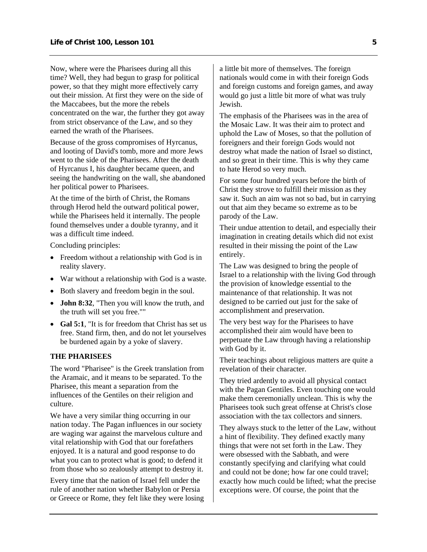Now, where were the Pharisees during all this time? Well, they had begun to grasp for political power, so that they might more effectively carry out their mission. At first they were on the side of the Maccabees, but the more the rebels concentrated on the war, the further they got away from strict observance of the Law, and so they earned the wrath of the Pharisees.

Because of the gross compromises of Hyrcanus, and looting of David's tomb, more and more Jews went to the side of the Pharisees. After the death of Hyrcanus I, his daughter became queen, and seeing the handwriting on the wall, she abandoned her political power to Pharisees.

At the time of the birth of Christ, the Romans through Herod held the outward political power, while the Pharisees held it internally. The people found themselves under a double tyranny, and it was a difficult time indeed.

Concluding principles:

- Freedom without a relationship with God is in reality slavery.
- War without a relationship with God is a waste.
- Both slavery and freedom begin in the soul.
- **John 8:32**, "Then you will know the truth, and the truth will set you free.""
- **Gal 5:1**, "It is for freedom that Christ has set us free. Stand firm, then, and do not let yourselves be burdened again by a yoke of slavery.

## **THE PHARISEES**

The word "Pharisee" is the Greek translation from the Aramaic, and it means to be separated. To the Pharisee, this meant a separation from the influences of the Gentiles on their religion and culture.

We have a very similar thing occurring in our nation today. The Pagan influences in our society are waging war against the marvelous culture and vital relationship with God that our forefathers enjoyed. It is a natural and good response to do what you can to protect what is good; to defend it from those who so zealously attempt to destroy it.

Every time that the nation of Israel fell under the rule of another nation whether Babylon or Persia or Greece or Rome, they felt like they were losing a little bit more of themselves. The foreign nationals would come in with their foreign Gods and foreign customs and foreign games, and away would go just a little bit more of what was truly Jewish.

The emphasis of the Pharisees was in the area of the Mosaic Law. It was their aim to protect and uphold the Law of Moses, so that the pollution of foreigners and their foreign Gods would not destroy what made the nation of Israel so distinct, and so great in their time. This is why they came to hate Herod so very much.

For some four hundred years before the birth of Christ they strove to fulfill their mission as they saw it. Such an aim was not so bad, but in carrying out that aim they became so extreme as to be parody of the Law.

Their undue attention to detail, and especially their imagination in creating details which did not exist resulted in their missing the point of the Law entirely.

The Law was designed to bring the people of Israel to a relationship with the living God through the provision of knowledge essential to the maintenance of that relationship. It was not designed to be carried out just for the sake of accomplishment and preservation.

The very best way for the Pharisees to have accomplished their aim would have been to perpetuate the Law through having a relationship with God by it.

Their teachings about religious matters are quite a revelation of their character.

They tried ardently to avoid all physical contact with the Pagan Gentiles. Even touching one would make them ceremonially unclean. This is why the Pharisees took such great offense at Christ's close association with the tax collectors and sinners.

They always stuck to the letter of the Law, without a hint of flexibility. They defined exactly many things that were not set forth in the Law. They were obsessed with the Sabbath, and were constantly specifying and clarifying what could and could not be done; how far one could travel; exactly how much could be lifted; what the precise exceptions were. Of course, the point that the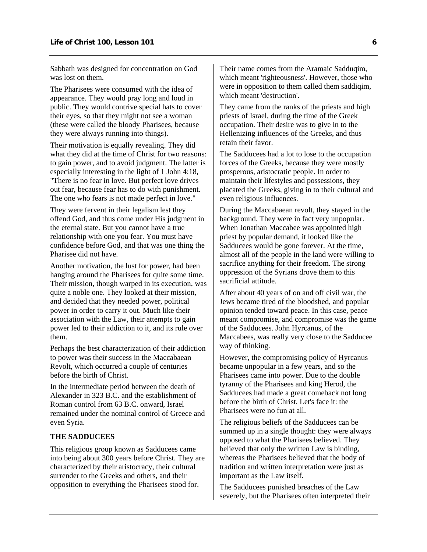Sabbath was designed for concentration on God was lost on them.

The Pharisees were consumed with the idea of appearance. They would pray long and loud in public. They would contrive special hats to cover their eyes, so that they might not see a woman (these were called the bloody Pharisees, because they were always running into things).

Their motivation is equally revealing. They did what they did at the time of Christ for two reasons: to gain power, and to avoid judgment. The latter is especially interesting in the light of 1 John 4:18, "There is no fear in love. But perfect love drives out fear, because fear has to do with punishment. The one who fears is not made perfect in love."

They were fervent in their legalism lest they offend God, and thus come under His judgment in the eternal state. But you cannot have a true relationship with one you fear. You must have confidence before God, and that was one thing the Pharisee did not have.

Another motivation, the lust for power, had been hanging around the Pharisees for quite some time. Their mission, though warped in its execution, was quite a noble one. They looked at their mission, and decided that they needed power, political power in order to carry it out. Much like their association with the Law, their attempts to gain power led to their addiction to it, and its rule over them.

Perhaps the best characterization of their addiction to power was their success in the Maccabaean Revolt, which occurred a couple of centuries before the birth of Christ.

In the intermediate period between the death of Alexander in 323 B.C. and the establishment of Roman control from 63 B.C. onward, Israel remained under the nominal control of Greece and even Syria.

## **THE SADDUCEES**

This religious group known as Sadducees came into being about 300 years before Christ. They are characterized by their aristocracy, their cultural surrender to the Greeks and others, and their opposition to everything the Pharisees stood for.

Their name comes from the Aramaic Sadduqim, which meant 'righteousness'. However, those who were in opposition to them called them saddiqim, which meant 'destruction'.

They came from the ranks of the priests and high priests of Israel, during the time of the Greek occupation. Their desire was to give in to the Hellenizing influences of the Greeks, and thus retain their favor.

The Sadducees had a lot to lose to the occupation forces of the Greeks, because they were mostly prosperous, aristocratic people. In order to maintain their lifestyles and possessions, they placated the Greeks, giving in to their cultural and even religious influences.

During the Maccabaean revolt, they stayed in the background. They were in fact very unpopular. When Jonathan Maccabee was appointed high priest by popular demand, it looked like the Sadducees would be gone forever. At the time, almost all of the people in the land were willing to sacrifice anything for their freedom. The strong oppression of the Syrians drove them to this sacrificial attitude.

After about 40 years of on and off civil war, the Jews became tired of the bloodshed, and popular opinion tended toward peace. In this case, peace meant compromise, and compromise was the game of the Sadducees. John Hyrcanus, of the Maccabees, was really very close to the Sadducee way of thinking.

However, the compromising policy of Hyrcanus became unpopular in a few years, and so the Pharisees came into power. Due to the double tyranny of the Pharisees and king Herod, the Sadducees had made a great comeback not long before the birth of Christ. Let's face it: the Pharisees were no fun at all.

The religious beliefs of the Sadducees can be summed up in a single thought: they were always opposed to what the Pharisees believed. They believed that only the written Law is binding, whereas the Pharisees believed that the body of tradition and written interpretation were just as important as the Law itself.

The Sadducees punished breaches of the Law severely, but the Pharisees often interpreted their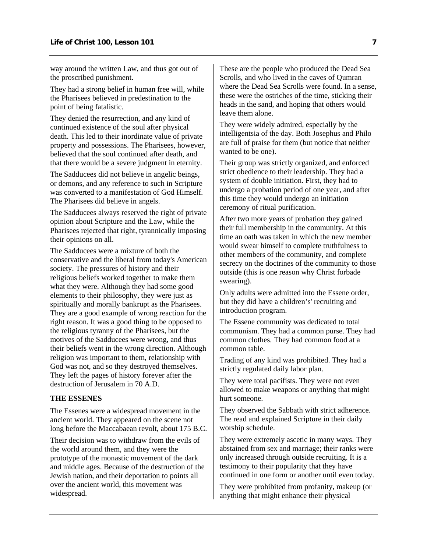way around the written Law, and thus got out of the proscribed punishment.

They had a strong belief in human free will, while the Pharisees believed in predestination to the point of being fatalistic.

They denied the resurrection, and any kind of continued existence of the soul after physical death. This led to their inordinate value of private property and possessions. The Pharisees, however, believed that the soul continued after death, and that there would be a severe judgment in eternity.

The Sadducees did not believe in angelic beings, or demons, and any reference to such in Scripture was converted to a manifestation of God Himself. The Pharisees did believe in angels.

The Sadducees always reserved the right of private opinion about Scripture and the Law, while the Pharisees rejected that right, tyrannically imposing their opinions on all.

The Sadducees were a mixture of both the conservative and the liberal from today's American society. The pressures of history and their religious beliefs worked together to make them what they were. Although they had some good elements to their philosophy, they were just as spiritually and morally bankrupt as the Pharisees. They are a good example of wrong reaction for the right reason. It was a good thing to be opposed to the religious tyranny of the Pharisees, but the motives of the Sadducees were wrong, and thus their beliefs went in the wrong direction. Although religion was important to them, relationship with God was not, and so they destroyed themselves. They left the pages of history forever after the destruction of Jerusalem in 70 A.D.

### **THE ESSENES**

The Essenes were a widespread movement in the ancient world. They appeared on the scene not long before the Maccabaean revolt, about 175 B.C.

Their decision was to withdraw from the evils of the world around them, and they were the prototype of the monastic movement of the dark and middle ages. Because of the destruction of the Jewish nation, and their deportation to points all over the ancient world, this movement was widespread.

These are the people who produced the Dead Sea Scrolls, and who lived in the caves of Qumran where the Dead Sea Scrolls were found. In a sense, these were the ostriches of the time, sticking their heads in the sand, and hoping that others would leave them alone.

They were widely admired, especially by the intelligentsia of the day. Both Josephus and Philo are full of praise for them (but notice that neither wanted to be one).

Their group was strictly organized, and enforced strict obedience to their leadership. They had a system of double initiation. First, they had to undergo a probation period of one year, and after this time they would undergo an initiation ceremony of ritual purification.

After two more years of probation they gained their full membership in the community. At this time an oath was taken in which the new member would swear himself to complete truthfulness to other members of the community, and complete secrecy on the doctrines of the community to those outside (this is one reason why Christ forbade swearing).

Only adults were admitted into the Essene order, but they did have a children's' recruiting and introduction program.

The Essene community was dedicated to total communism. They had a common purse. They had common clothes. They had common food at a common table.

Trading of any kind was prohibited. They had a strictly regulated daily labor plan.

They were total pacifists. They were not even allowed to make weapons or anything that might hurt someone.

They observed the Sabbath with strict adherence. The read and explained Scripture in their daily worship schedule.

They were extremely ascetic in many ways. They abstained from sex and marriage; their ranks were only increased through outside recruiting. It is a testimony to their popularity that they have continued in one form or another until even today.

They were prohibited from profanity, makeup (or anything that might enhance their physical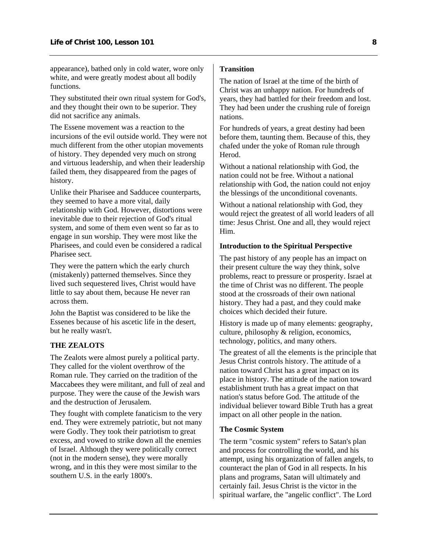appearance), bathed only in cold water, wore only white, and were greatly modest about all bodily functions.

They substituted their own ritual system for God's, and they thought their own to be superior. They did not sacrifice any animals.

The Essene movement was a reaction to the incursions of the evil outside world. They were not much different from the other utopian movements of history. They depended very much on strong and virtuous leadership, and when their leadership failed them, they disappeared from the pages of history.

Unlike their Pharisee and Sadducee counterparts, they seemed to have a more vital, daily relationship with God. However, distortions were inevitable due to their rejection of God's ritual system, and some of them even went so far as to engage in sun worship. They were most like the Pharisees, and could even be considered a radical Pharisee sect.

They were the pattern which the early church (mistakenly) patterned themselves. Since they lived such sequestered lives, Christ would have little to say about them, because He never ran across them.

John the Baptist was considered to be like the Essenes because of his ascetic life in the desert, but he really wasn't.

## **THE ZEALOTS**

The Zealots were almost purely a political party. They called for the violent overthrow of the Roman rule. They carried on the tradition of the Maccabees they were militant, and full of zeal and purpose. They were the cause of the Jewish wars and the destruction of Jerusalem.

They fought with complete fanaticism to the very end. They were extremely patriotic, but not many were Godly. They took their patriotism to great excess, and vowed to strike down all the enemies of Israel. Although they were politically correct (not in the modern sense), they were morally wrong, and in this they were most similar to the southern U.S. in the early 1800's.

## **Transition**

The nation of Israel at the time of the birth of Christ was an unhappy nation. For hundreds of years, they had battled for their freedom and lost. They had been under the crushing rule of foreign nations.

For hundreds of years, a great destiny had been before them, taunting them. Because of this, they chafed under the yoke of Roman rule through **Herod** 

Without a national relationship with God, the nation could not be free. Without a national relationship with God, the nation could not enjoy the blessings of the unconditional covenants.

Without a national relationship with God, they would reject the greatest of all world leaders of all time: Jesus Christ. One and all, they would reject Him.

## **Introduction to the Spiritual Perspective**

The past history of any people has an impact on their present culture the way they think, solve problems, react to pressure or prosperity. Israel at the time of Christ was no different. The people stood at the crossroads of their own national history. They had a past, and they could make choices which decided their future.

History is made up of many elements: geography, culture, philosophy & religion, economics, technology, politics, and many others.

The greatest of all the elements is the principle that Jesus Christ controls history. The attitude of a nation toward Christ has a great impact on its place in history. The attitude of the nation toward establishment truth has a great impact on that nation's status before God. The attitude of the individual believer toward Bible Truth has a great impact on all other people in the nation.

#### **The Cosmic System**

The term "cosmic system" refers to Satan's plan and process for controlling the world, and his attempt, using his organization of fallen angels, to counteract the plan of God in all respects. In his plans and programs, Satan will ultimately and certainly fail. Jesus Christ is the victor in the spiritual warfare, the "angelic conflict". The Lord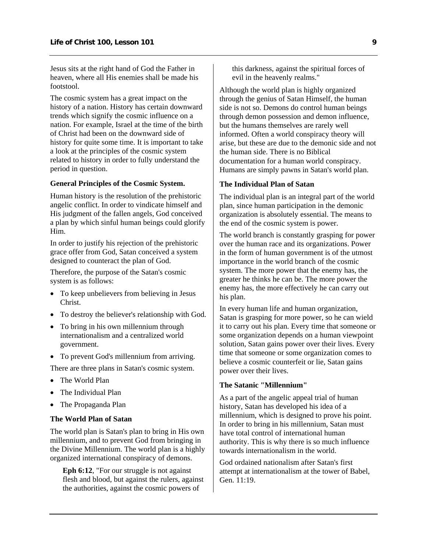Jesus sits at the right hand of God the Father in heaven, where all His enemies shall be made his footstool.

The cosmic system has a great impact on the history of a nation. History has certain downward trends which signify the cosmic influence on a nation. For example, Israel at the time of the birth of Christ had been on the downward side of history for quite some time. It is important to take a look at the principles of the cosmic system related to history in order to fully understand the period in question.

## **General Principles of the Cosmic System.**

Human history is the resolution of the prehistoric angelic conflict. In order to vindicate himself and His judgment of the fallen angels, God conceived a plan by which sinful human beings could glorify Him.

In order to justify his rejection of the prehistoric grace offer from God, Satan conceived a system designed to counteract the plan of God.

Therefore, the purpose of the Satan's cosmic system is as follows:

- To keep unbelievers from believing in Jesus Christ.
- To destroy the believer's relationship with God.
- To bring in his own millennium through internationalism and a centralized world government.
- To prevent God's millennium from arriving. There are three plans in Satan's cosmic system.
- The World Plan
- The Individual Plan
- The Propaganda Plan

#### **The World Plan of Satan**

The world plan is Satan's plan to bring in His own millennium, and to prevent God from bringing in the Divine Millennium. The world plan is a highly organized international conspiracy of demons.

**Eph 6:12**, "For our struggle is not against flesh and blood, but against the rulers, against the authorities, against the cosmic powers of

this darkness, against the spiritual forces of evil in the heavenly realms."

Although the world plan is highly organized through the genius of Satan Himself, the human side is not so. Demons do control human beings through demon possession and demon influence, but the humans themselves are rarely well informed. Often a world conspiracy theory will arise, but these are due to the demonic side and not the human side. There is no Biblical documentation for a human world conspiracy. Humans are simply pawns in Satan's world plan.

## **The Individual Plan of Satan**

The individual plan is an integral part of the world plan, since human participation in the demonic organization is absolutely essential. The means to the end of the cosmic system is power.

The world branch is constantly grasping for power over the human race and its organizations. Power in the form of human government is of the utmost importance in the world branch of the cosmic system. The more power that the enemy has, the greater he thinks he can be. The more power the enemy has, the more effectively he can carry out his plan.

In every human life and human organization, Satan is grasping for more power, so he can wield it to carry out his plan. Every time that someone or some organization depends on a human viewpoint solution, Satan gains power over their lives. Every time that someone or some organization comes to believe a cosmic counterfeit or lie, Satan gains power over their lives.

## **The Satanic "Millennium"**

As a part of the angelic appeal trial of human history, Satan has developed his idea of a millennium, which is designed to prove his point. In order to bring in his millennium, Satan must have total control of international human authority. This is why there is so much influence towards internationalism in the world.

God ordained nationalism after Satan's first attempt at internationalism at the tower of Babel, Gen. 11:19.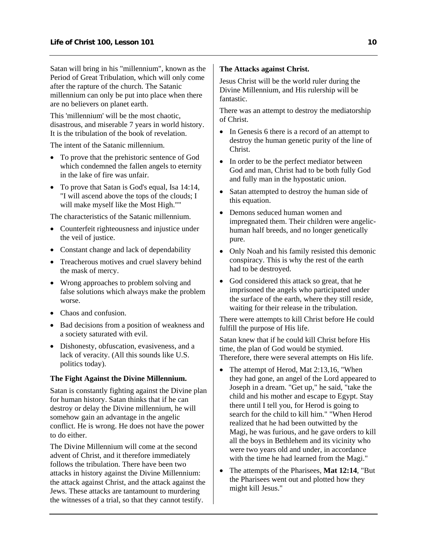Satan will bring in his "millennium", known as the Period of Great Tribulation, which will only come after the rapture of the church. The Satanic millennium can only be put into place when there are no believers on planet earth.

This 'millennium' will be the most chaotic, disastrous, and miserable 7 years in world history. It is the tribulation of the book of revelation.

The intent of the Satanic millennium.

- To prove that the prehistoric sentence of God which condemned the fallen angels to eternity in the lake of fire was unfair.
- To prove that Satan is God's equal, Isa 14:14, "I will ascend above the tops of the clouds; I will make myself like the Most High.""

The characteristics of the Satanic millennium.

- Counterfeit righteousness and injustice under the veil of justice.
- Constant change and lack of dependability
- Treacherous motives and cruel slavery behind the mask of mercy.
- Wrong approaches to problem solving and false solutions which always make the problem worse.
- Chaos and confusion
- Bad decisions from a position of weakness and a society saturated with evil.
- Dishonesty, obfuscation, evasiveness, and a lack of veracity. (All this sounds like U.S. politics today).

#### **The Fight Against the Divine Millennium.**

Satan is constantly fighting against the Divine plan for human history. Satan thinks that if he can destroy or delay the Divine millennium, he will somehow gain an advantage in the angelic conflict. He is wrong. He does not have the power to do either

The Divine Millennium will come at the second advent of Christ, and it therefore immediately follows the tribulation. There have been two attacks in history against the Divine Millennium: the attack against Christ, and the attack against the Jews. These attacks are tantamount to murdering the witnesses of a trial, so that they cannot testify.

## **The Attacks against Christ.**

Jesus Christ will be the world ruler during the Divine Millennium, and His rulership will be fantastic.

There was an attempt to destroy the mediatorship of Christ.

- In Genesis 6 there is a record of an attempt to destroy the human genetic purity of the line of Christ.
- In order to be the perfect mediator between God and man, Christ had to be both fully God and fully man in the hypostatic union.
- Satan attempted to destroy the human side of this equation.
- Demons seduced human women and impregnated them. Their children were angelichuman half breeds, and no longer genetically pure.
- Only Noah and his family resisted this demonic conspiracy. This is why the rest of the earth had to be destroyed.
- God considered this attack so great, that he imprisoned the angels who participated under the surface of the earth, where they still reside, waiting for their release in the tribulation.

There were attempts to kill Christ before He could fulfill the purpose of His life.

Satan knew that if he could kill Christ before His time, the plan of God would be stymied. Therefore, there were several attempts on His life.

- The attempt of Herod, Mat 2:13,16, "When they had gone, an angel of the Lord appeared to Joseph in a dream. "Get up," he said, "take the child and his mother and escape to Egypt. Stay there until I tell you, for Herod is going to search for the child to kill him." "When Herod realized that he had been outwitted by the Magi, he was furious, and he gave orders to kill all the boys in Bethlehem and its vicinity who were two years old and under, in accordance with the time he had learned from the Magi."
- The attempts of the Pharisees, **Mat 12:14**, "But the Pharisees went out and plotted how they might kill Jesus."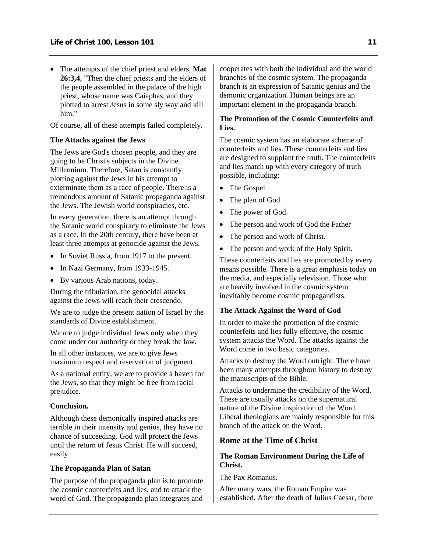<span id="page-13-0"></span>• The attempts of the chief priest and elders, **Mat 26:3,4**, "Then the chief priests and the elders of the people assembled in the palace of the high priest, whose name was Caiaphas, and they plotted to arrest Jesus in some sly way and kill him."

Of course, all of these attempts failed completely.

## **The Attacks against the Jews**

The Jews are God's chosen people, and they are going to be Christ's subjects in the Divine Millennium. Therefore, Satan is constantly plotting against the Jews in his attempt to exterminate them as a race of people. There is a tremendous amount of Satanic propaganda against the Jews. The Jewish world conspiracies, etc.

In every generation, there is an attempt through the Satanic world conspiracy to eliminate the Jews as a race. In the 20th century, there have been at least three attempts at genocide against the Jews.

- In Soviet Russia, from 1917 to the present.
- In Nazi Germany, from 1933-1945.
- By various Arab nations, today.

During the tribulation, the genocidal attacks against the Jews will reach their crescendo.

We are to judge the present nation of Israel by the standards of Divine establishment.

We are to judge individual Jews only when they come under our authority or they break the law.

In all other instances, we are to give Jews maximum respect and reservation of judgment.

As a national entity, we are to provide a haven for the Jews, so that they might be free from racial prejudice.

#### **Conclusion.**

Although these demonically inspired attacks are terrible in their intensity and genius, they have no chance of succeeding. God will protect the Jews until the return of Jesus Christ. He will succeed, easily.

#### **The Propaganda Plan of Satan**

The purpose of the propaganda plan is to promote the cosmic counterfeits and lies, and to attack the word of God. The propaganda plan integrates and

cooperates with both the individual and the world branches of the cosmic system. The propaganda branch is an expression of Satanic genius and the demonic organization. Human beings are an important element in the propaganda branch.

## **The Promotion of the Cosmic Counterfeits and Lies.**

The cosmic system has an elaborate scheme of counterfeits and lies. These counterfeits and lies are designed to supplant the truth. The counterfeits and lies match up with every category of truth possible, including:

- The Gospel.
- The plan of God.
- The power of God.
- The person and work of God the Father
- The person and work of Christ.
- The person and work of the Holy Spirit.

These counterfeits and lies are promoted by every means possible. There is a great emphasis today on the media, and especially television. Those who are heavily involved in the cosmic system inevitably become cosmic propagandists.

## **The Attack Against the Word of God**

In order to make the promotion of the cosmic counterfeits and lies fully effective, the cosmic system attacks the Word. The attacks against the Word come in two basic categories.

Attacks to destroy the Word outright. There have been many attempts throughout history to destroy the manuscripts of the Bible.

Attacks to undermine the credibility of the Word. These are usually attacks on the supernatural nature of the Divine inspiration of the Word. Liberal theologians are mainly responsible for this branch of the attack on the Word.

## **Rome at the Time of Christ**

## **The Roman Environment During the Life of Christ.**

The Pax Romanus.

After many wars, the Roman Empire was established. After the death of Julius Caesar, there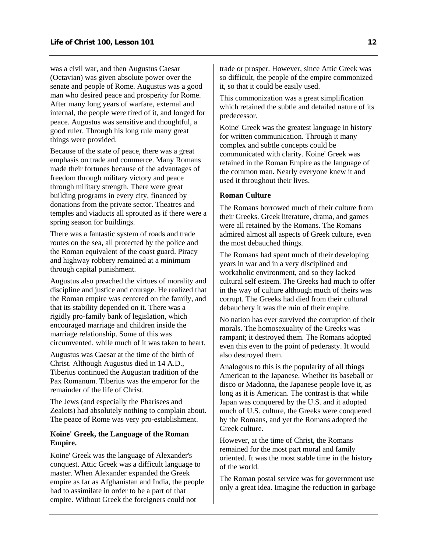was a civil war, and then Augustus Caesar (Octavian) was given absolute power over the senate and people of Rome. Augustus was a good man who desired peace and prosperity for Rome. After many long years of warfare, external and internal, the people were tired of it, and longed for peace. Augustus was sensitive and thoughtful, a good ruler. Through his long rule many great things were provided.

Because of the state of peace, there was a great emphasis on trade and commerce. Many Romans made their fortunes because of the advantages of freedom through military victory and peace through military strength. There were great building programs in every city, financed by donations from the private sector. Theatres and temples and viaducts all sprouted as if there were a spring season for buildings.

There was a fantastic system of roads and trade routes on the sea, all protected by the police and the Roman equivalent of the coast guard. Piracy and highway robbery remained at a minimum through capital punishment.

Augustus also preached the virtues of morality and discipline and justice and courage. He realized that the Roman empire was centered on the family, and that its stability depended on it. There was a rigidly pro-family bank of legislation, which encouraged marriage and children inside the marriage relationship. Some of this was circumvented, while much of it was taken to heart.

Augustus was Caesar at the time of the birth of Christ. Although Augustus died in 14 A.D., Tiberius continued the Augustan tradition of the Pax Romanum. Tiberius was the emperor for the remainder of the life of Christ.

The Jews (and especially the Pharisees and Zealots) had absolutely nothing to complain about. The peace of Rome was very pro-establishment.

#### **Koine' Greek, the Language of the Roman Empire.**

Koine' Greek was the language of Alexander's conquest. Attic Greek was a difficult language to master. When Alexander expanded the Greek empire as far as Afghanistan and India, the people had to assimilate in order to be a part of that empire. Without Greek the foreigners could not

trade or prosper. However, since Attic Greek was so difficult, the people of the empire commonized it, so that it could be easily used.

This commonization was a great simplification which retained the subtle and detailed nature of its predecessor.

Koine' Greek was the greatest language in history for written communication. Through it many complex and subtle concepts could be communicated with clarity. Koine' Greek was retained in the Roman Empire as the language of the common man. Nearly everyone knew it and used it throughout their lives.

## **Roman Culture**

The Romans borrowed much of their culture from their Greeks. Greek literature, drama, and games were all retained by the Romans. The Romans admired almost all aspects of Greek culture, even the most debauched things.

The Romans had spent much of their developing years in war and in a very disciplined and workaholic environment, and so they lacked cultural self esteem. The Greeks had much to offer in the way of culture although much of theirs was corrupt. The Greeks had died from their cultural debauchery it was the ruin of their empire.

No nation has ever survived the corruption of their morals. The homosexuality of the Greeks was rampant; it destroyed them. The Romans adopted even this even to the point of pederasty. It would also destroyed them.

Analogous to this is the popularity of all things American to the Japanese. Whether its baseball or disco or Madonna, the Japanese people love it, as long as it is American. The contrast is that while Japan was conquered by the U.S. and it adopted much of U.S. culture, the Greeks were conquered by the Romans, and yet the Romans adopted the Greek culture.

However, at the time of Christ, the Romans remained for the most part moral and family oriented. It was the most stable time in the history of the world.

The Roman postal service was for government use only a great idea. Imagine the reduction in garbage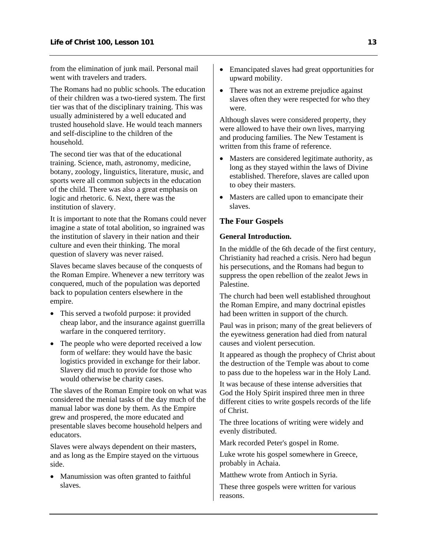<span id="page-15-0"></span>from the elimination of junk mail. Personal mail went with travelers and traders.

The Romans had no public schools. The education of their children was a two-tiered system. The first tier was that of the disciplinary training. This was usually administered by a well educated and trusted household slave. He would teach manners and self-discipline to the children of the household.

The second tier was that of the educational training. Science, math, astronomy, medicine, botany, zoology, linguistics, literature, music, and sports were all common subjects in the education of the child. There was also a great emphasis on logic and rhetoric. 6. Next, there was the institution of slavery.

It is important to note that the Romans could never imagine a state of total abolition, so ingrained was the institution of slavery in their nation and their culture and even their thinking. The moral question of slavery was never raised.

Slaves became slaves because of the conquests of the Roman Empire. Whenever a new territory was conquered, much of the population was deported back to population centers elsewhere in the empire.

- This served a twofold purpose: it provided cheap labor, and the insurance against guerrilla warfare in the conquered territory.
- The people who were deported received a low form of welfare: they would have the basic logistics provided in exchange for their labor. Slavery did much to provide for those who would otherwise be charity cases.

The slaves of the Roman Empire took on what was considered the menial tasks of the day much of the manual labor was done by them. As the Empire grew and prospered, the more educated and presentable slaves become household helpers and educators.

Slaves were always dependent on their masters, and as long as the Empire stayed on the virtuous side.

• Manumission was often granted to faithful slaves.

- Emancipated slaves had great opportunities for upward mobility.
- There was not an extreme prejudice against slaves often they were respected for who they were.

Although slaves were considered property, they were allowed to have their own lives, marrying and producing families. The New Testament is written from this frame of reference.

- Masters are considered legitimate authority, as long as they stayed within the laws of Divine established. Therefore, slaves are called upon to obey their masters.
- Masters are called upon to emancipate their slaves.

## **The Four Gospels**

## **General Introduction.**

In the middle of the 6th decade of the first century, Christianity had reached a crisis. Nero had begun his persecutions, and the Romans had begun to suppress the open rebellion of the zealot Jews in Palestine.

The church had been well established throughout the Roman Empire, and many doctrinal epistles had been written in support of the church.

Paul was in prison; many of the great believers of the eyewitness generation had died from natural causes and violent persecution.

It appeared as though the prophecy of Christ about the destruction of the Temple was about to come to pass due to the hopeless war in the Holy Land.

It was because of these intense adversities that God the Holy Spirit inspired three men in three different cities to write gospels records of the life of Christ.

The three locations of writing were widely and evenly distributed.

Mark recorded Peter's gospel in Rome.

Luke wrote his gospel somewhere in Greece, probably in Achaia.

Matthew wrote from Antioch in Syria.

These three gospels were written for various reasons.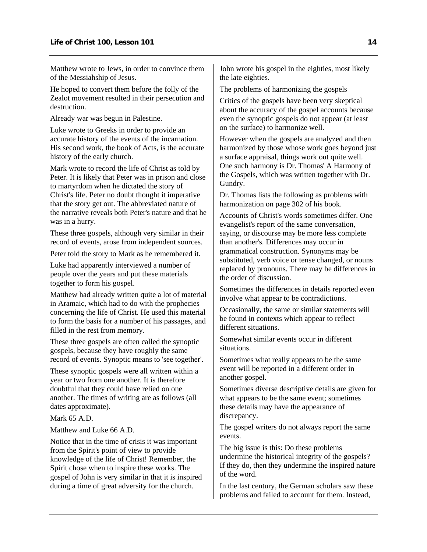Matthew wrote to Jews, in order to convince them of the Messiahship of Jesus.

He hoped to convert them before the folly of the Zealot movement resulted in their persecution and destruction.

Already war was begun in Palestine.

Luke wrote to Greeks in order to provide an accurate history of the events of the incarnation. His second work, the book of Acts, is the accurate history of the early church.

Mark wrote to record the life of Christ as told by Peter. It is likely that Peter was in prison and close to martyrdom when he dictated the story of Christ's life. Peter no doubt thought it imperative that the story get out. The abbreviated nature of the narrative reveals both Peter's nature and that he was in a hurry.

These three gospels, although very similar in their record of events, arose from independent sources.

Peter told the story to Mark as he remembered it.

Luke had apparently interviewed a number of people over the years and put these materials together to form his gospel.

Matthew had already written quite a lot of material in Aramaic, which had to do with the prophecies concerning the life of Christ. He used this material to form the basis for a number of his passages, and filled in the rest from memory.

These three gospels are often called the synoptic gospels, because they have roughly the same record of events. Synoptic means to 'see together'.

These synoptic gospels were all written within a year or two from one another. It is therefore doubtful that they could have relied on one another. The times of writing are as follows (all dates approximate).

Mark 65 A.D.

Matthew and Luke 66 A.D.

Notice that in the time of crisis it was important from the Spirit's point of view to provide knowledge of the life of Christ! Remember, the Spirit chose when to inspire these works. The gospel of John is very similar in that it is inspired during a time of great adversity for the church.

John wrote his gospel in the eighties, most likely the late eighties.

The problems of harmonizing the gospels

Critics of the gospels have been very skeptical about the accuracy of the gospel accounts because even the synoptic gospels do not appear (at least on the surface) to harmonize well.

However when the gospels are analyzed and then harmonized by those whose work goes beyond just a surface appraisal, things work out quite well. One such harmony is Dr. Thomas' A Harmony of the Gospels, which was written together with Dr. Gundry.

Dr. Thomas lists the following as problems with harmonization on page 302 of his book.

Accounts of Christ's words sometimes differ. One evangelist's report of the same conversation, saying, or discourse may be more less complete than another's. Differences may occur in grammatical construction. Synonyms may be substituted, verb voice or tense changed, or nouns replaced by pronouns. There may be differences in the order of discussion.

Sometimes the differences in details reported even involve what appear to be contradictions.

Occasionally, the same or similar statements will be found in contexts which appear to reflect different situations.

Somewhat similar events occur in different situations.

Sometimes what really appears to be the same event will be reported in a different order in another gospel.

Sometimes diverse descriptive details are given for what appears to be the same event; sometimes these details may have the appearance of discrepancy.

The gospel writers do not always report the same events.

The big issue is this: Do these problems undermine the historical integrity of the gospels? If they do, then they undermine the inspired nature of the word.

In the last century, the German scholars saw these problems and failed to account for them. Instead,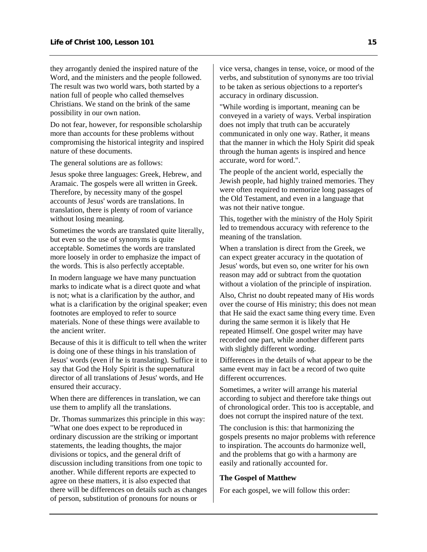they arrogantly denied the inspired nature of the Word, and the ministers and the people followed. The result was two world wars, both started by a nation full of people who called themselves Christians. We stand on the brink of the same possibility in our own nation.

Do not fear, however, for responsible scholarship more than accounts for these problems without compromising the historical integrity and inspired nature of these documents.

The general solutions are as follows:

Jesus spoke three languages: Greek, Hebrew, and Aramaic. The gospels were all written in Greek. Therefore, by necessity many of the gospel accounts of Jesus' words are translations. In translation, there is plenty of room of variance without losing meaning.

Sometimes the words are translated quite literally, but even so the use of synonyms is quite acceptable. Sometimes the words are translated more loosely in order to emphasize the impact of the words. This is also perfectly acceptable.

In modern language we have many punctuation marks to indicate what is a direct quote and what is not; what is a clarification by the author, and what is a clarification by the original speaker; even footnotes are employed to refer to source materials. None of these things were available to the ancient writer.

Because of this it is difficult to tell when the writer is doing one of these things in his translation of Jesus' words (even if he is translating). Suffice it to say that God the Holy Spirit is the supernatural director of all translations of Jesus' words, and He ensured their accuracy.

When there are differences in translation, we can use them to amplify all the translations.

Dr. Thomas summarizes this principle in this way: "What one does expect to be reproduced in ordinary discussion are the striking or important statements, the leading thoughts, the major divisions or topics, and the general drift of discussion including transitions from one topic to another. While different reports are expected to agree on these matters, it is also expected that there will be differences on details such as changes of person, substitution of pronouns for nouns or

vice versa, changes in tense, voice, or mood of the verbs, and substitution of synonyms are too trivial to be taken as serious objections to a reporter's accuracy in ordinary discussion.

"While wording is important, meaning can be conveyed in a variety of ways. Verbal inspiration does not imply that truth can be accurately communicated in only one way. Rather, it means that the manner in which the Holy Spirit did speak through the human agents is inspired and hence accurate, word for word.".

The people of the ancient world, especially the Jewish people, had highly trained memories. They were often required to memorize long passages of the Old Testament, and even in a language that was not their native tongue.

This, together with the ministry of the Holy Spirit led to tremendous accuracy with reference to the meaning of the translation.

When a translation is direct from the Greek, we can expect greater accuracy in the quotation of Jesus' words, but even so, one writer for his own reason may add or subtract from the quotation without a violation of the principle of inspiration.

Also, Christ no doubt repeated many of His words over the course of His ministry; this does not mean that He said the exact same thing every time. Even during the same sermon it is likely that He repeated Himself. One gospel writer may have recorded one part, while another different parts with slightly different wording.

Differences in the details of what appear to be the same event may in fact be a record of two quite different occurrences.

Sometimes, a writer will arrange his material according to subject and therefore take things out of chronological order. This too is acceptable, and does not corrupt the inspired nature of the text.

The conclusion is this: that harmonizing the gospels presents no major problems with reference to inspiration. The accounts do harmonize well, and the problems that go with a harmony are easily and rationally accounted for.

#### **The Gospel of Matthew**

For each gospel, we will follow this order: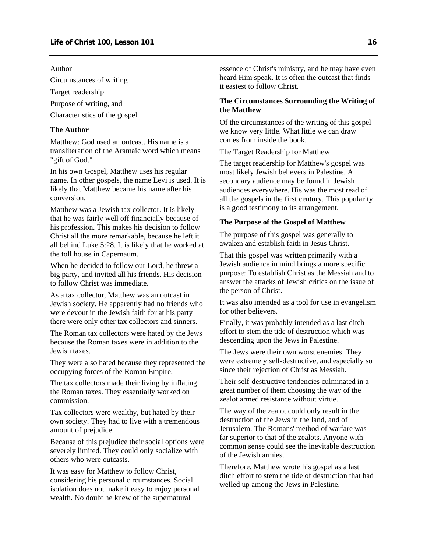Author

Circumstances of writing

Target readership

Purpose of writing, and

Characteristics of the gospel.

## **The Author**

Matthew: God used an outcast. His name is a transliteration of the Aramaic word which means "gift of God."

In his own Gospel, Matthew uses his regular name. In other gospels, the name Levi is used. It is likely that Matthew became his name after his conversion.

Matthew was a Jewish tax collector. It is likely that he was fairly well off financially because of his profession. This makes his decision to follow Christ all the more remarkable, because he left it all behind Luke 5:28. It is likely that he worked at the toll house in Capernaum.

When he decided to follow our Lord, he threw a big party, and invited all his friends. His decision to follow Christ was immediate.

As a tax collector, Matthew was an outcast in Jewish society. He apparently had no friends who were devout in the Jewish faith for at his party there were only other tax collectors and sinners.

The Roman tax collectors were hated by the Jews because the Roman taxes were in addition to the Jewish taxes.

They were also hated because they represented the occupying forces of the Roman Empire.

The tax collectors made their living by inflating the Roman taxes. They essentially worked on commission.

Tax collectors were wealthy, but hated by their own society. They had to live with a tremendous amount of prejudice.

Because of this prejudice their social options were severely limited. They could only socialize with others who were outcasts.

It was easy for Matthew to follow Christ, considering his personal circumstances. Social isolation does not make it easy to enjoy personal wealth. No doubt he knew of the supernatural

essence of Christ's ministry, and he may have even heard Him speak. It is often the outcast that finds it easiest to follow Christ.

### **The Circumstances Surrounding the Writing of the Matthew**

Of the circumstances of the writing of this gospel we know very little. What little we can draw comes from inside the book.

The Target Readership for Matthew

The target readership for Matthew's gospel was most likely Jewish believers in Palestine. A secondary audience may be found in Jewish audiences everywhere. His was the most read of all the gospels in the first century. This popularity is a good testimony to its arrangement.

## **The Purpose of the Gospel of Matthew**

The purpose of this gospel was generally to awaken and establish faith in Jesus Christ.

That this gospel was written primarily with a Jewish audience in mind brings a more specific purpose: To establish Christ as the Messiah and to answer the attacks of Jewish critics on the issue of the person of Christ.

It was also intended as a tool for use in evangelism for other believers.

Finally, it was probably intended as a last ditch effort to stem the tide of destruction which was descending upon the Jews in Palestine.

The Jews were their own worst enemies. They were extremely self-destructive, and especially so since their rejection of Christ as Messiah.

Their self-destructive tendencies culminated in a great number of them choosing the way of the zealot armed resistance without virtue.

The way of the zealot could only result in the destruction of the Jews in the land, and of Jerusalem. The Romans' method of warfare was far superior to that of the zealots. Anyone with common sense could see the inevitable destruction of the Jewish armies.

Therefore, Matthew wrote his gospel as a last ditch effort to stem the tide of destruction that had welled up among the Jews in Palestine.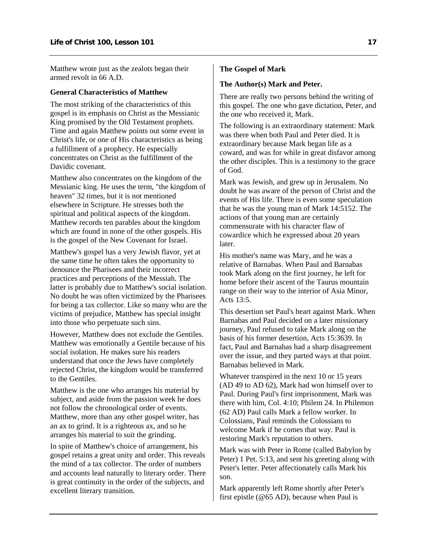Matthew wrote just as the zealots began their armed revolt in 66 A.D.

## **General Characteristics of Matthew**

The most striking of the characteristics of this gospel is its emphasis on Christ as the Messianic King promised by the Old Testament prophets. Time and again Matthew points out some event in Christ's life, or one of His characteristics as being a fulfillment of a prophecy. He especially concentrates on Christ as the fulfillment of the Davidic covenant.

Matthew also concentrates on the kingdom of the Messianic king. He uses the term, "the kingdom of heaven" 32 times, but it is not mentioned elsewhere in Scripture. He stresses both the spiritual and political aspects of the kingdom. Matthew records ten parables about the kingdom which are found in none of the other gospels. His is the gospel of the New Covenant for Israel.

Matthew's gospel has a very Jewish flavor, yet at the same time he often takes the opportunity to denounce the Pharisees and their incorrect practices and perceptions of the Messiah. The latter is probably due to Matthew's social isolation. No doubt he was often victimized by the Pharisees for being a tax collector. Like so many who are the victims of prejudice, Matthew has special insight into those who perpetuate such sins.

However, Matthew does not exclude the Gentiles. Matthew was emotionally a Gentile because of his social isolation. He makes sure his readers understand that once the Jews have completely rejected Christ, the kingdom would be transferred to the Gentiles.

Matthew is the one who arranges his material by subject, and aside from the passion week he does not follow the chronological order of events. Matthew, more than any other gospel writer, has an ax to grind. It is a righteous ax, and so he arranges his material to suit the grinding.

In spite of Matthew's choice of arrangement, his gospel retains a great unity and order. This reveals the mind of a tax collector. The order of numbers and accounts lead naturally to literary order. There is great continuity in the order of the subjects, and excellent literary transition.

## **The Gospel of Mark**

## **The Author(s) Mark and Peter.**

There are really two persons behind the writing of this gospel. The one who gave dictation, Peter, and the one who received it, Mark.

The following is an extraordinary statement: Mark was there when both Paul and Peter died. It is extraordinary because Mark began life as a coward, and was for while in great disfavor among the other disciples. This is a testimony to the grace of God.

Mark was Jewish, and grew up in Jerusalem. No doubt he was aware of the person of Christ and the events of His life. There is even some speculation that he was the young man of Mark 14:5152. The actions of that young man are certainly commensurate with his character flaw of cowardice which he expressed about 20 years later.

His mother's name was Mary, and he was a relative of Barnabas. When Paul and Barnabas took Mark along on the first journey, he left for home before their ascent of the Taurus mountain range on their way to the interior of Asia Minor, Acts 13:5.

This desertion set Paul's heart against Mark. When Barnabas and Paul decided on a later missionary journey, Paul refused to take Mark along on the basis of his former desertion, Acts 15:3639. In fact, Paul and Barnabas had a sharp disagreement over the issue, and they parted ways at that point. Barnabas believed in Mark.

Whatever transpired in the next 10 or 15 years (AD 49 to AD 62), Mark had won himself over to Paul. During Paul's first imprisonment, Mark was there with him, Col. 4:10; Philem 24. In Philemon (62 AD) Paul calls Mark a fellow worker. In Colossians, Paul reminds the Colossians to welcome Mark if he comes that way. Paul is restoring Mark's reputation to others.

Mark was with Peter in Rome (called Babylon by Peter) 1 Pet. 5:13, and sent his greeting along with Peter's letter. Peter affectionately calls Mark his son.

Mark apparently left Rome shortly after Peter's first epistle (@65 AD), because when Paul is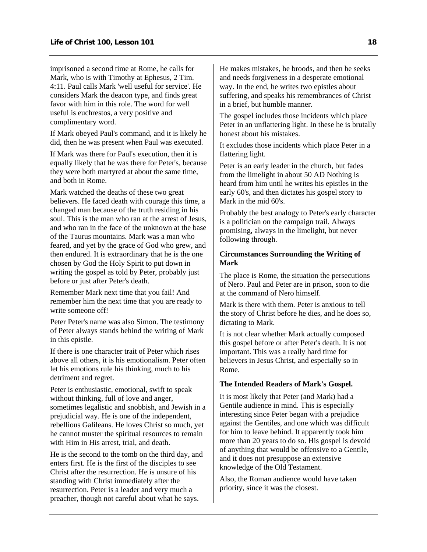imprisoned a second time at Rome, he calls for Mark, who is with Timothy at Ephesus, 2 Tim. 4:11. Paul calls Mark 'well useful for service'. He considers Mark the deacon type, and finds great favor with him in this role. The word for well useful is euchrestos, a very positive and complimentary word.

If Mark obeyed Paul's command, and it is likely he did, then he was present when Paul was executed.

If Mark was there for Paul's execution, then it is equally likely that he was there for Peter's, because they were both martyred at about the same time, and both in Rome.

Mark watched the deaths of these two great believers. He faced death with courage this time, a changed man because of the truth residing in his soul. This is the man who ran at the arrest of Jesus, and who ran in the face of the unknown at the base of the Taurus mountains. Mark was a man who feared, and yet by the grace of God who grew, and then endured. It is extraordinary that he is the one chosen by God the Holy Spirit to put down in writing the gospel as told by Peter, probably just before or just after Peter's death.

Remember Mark next time that you fail! And remember him the next time that you are ready to write someone off!

Peter Peter's name was also Simon. The testimony of Peter always stands behind the writing of Mark in this epistle.

If there is one character trait of Peter which rises above all others, it is his emotionalism. Peter often let his emotions rule his thinking, much to his detriment and regret.

Peter is enthusiastic, emotional, swift to speak without thinking, full of love and anger, sometimes legalistic and snobbish, and Jewish in a prejudicial way. He is one of the independent, rebellious Galileans. He loves Christ so much, yet he cannot muster the spiritual resources to remain with Him in His arrest, trial, and death.

He is the second to the tomb on the third day, and enters first. He is the first of the disciples to see Christ after the resurrection. He is unsure of his standing with Christ immediately after the resurrection. Peter is a leader and very much a preacher, though not careful about what he says.

He makes mistakes, he broods, and then he seeks and needs forgiveness in a desperate emotional way. In the end, he writes two epistles about suffering, and speaks his remembrances of Christ in a brief, but humble manner.

The gospel includes those incidents which place Peter in an unflattering light. In these he is brutally honest about his mistakes.

It excludes those incidents which place Peter in a flattering light.

Peter is an early leader in the church, but fades from the limelight in about 50 AD Nothing is heard from him until he writes his epistles in the early 60's, and then dictates his gospel story to Mark in the mid 60's.

Probably the best analogy to Peter's early character is a politician on the campaign trail. Always promising, always in the limelight, but never following through.

## **Circumstances Surrounding the Writing of Mark**

The place is Rome, the situation the persecutions of Nero. Paul and Peter are in prison, soon to die at the command of Nero himself.

Mark is there with them. Peter is anxious to tell the story of Christ before he dies, and he does so, dictating to Mark.

It is not clear whether Mark actually composed this gospel before or after Peter's death. It is not important. This was a really hard time for believers in Jesus Christ, and especially so in Rome.

## **The Intended Readers of Mark's Gospel.**

It is most likely that Peter (and Mark) had a Gentile audience in mind. This is especially interesting since Peter began with a prejudice against the Gentiles, and one which was difficult for him to leave behind. It apparently took him more than 20 years to do so. His gospel is devoid of anything that would be offensive to a Gentile, and it does not presuppose an extensive knowledge of the Old Testament.

Also, the Roman audience would have taken priority, since it was the closest.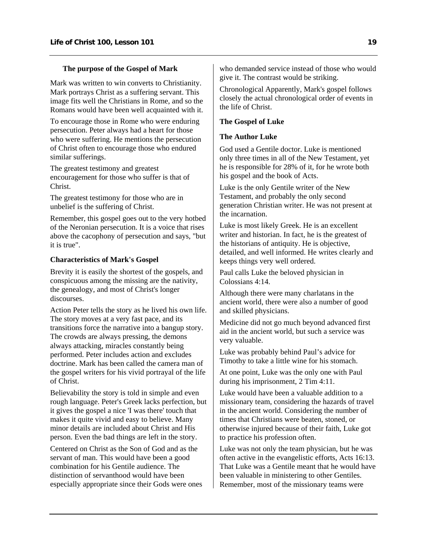#### **The purpose of the Gospel of Mark**

Mark was written to win converts to Christianity. Mark portrays Christ as a suffering servant. This image fits well the Christians in Rome, and so the Romans would have been well acquainted with it.

To encourage those in Rome who were enduring persecution. Peter always had a heart for those who were suffering. He mentions the persecution of Christ often to encourage those who endured similar sufferings.

The greatest testimony and greatest encouragement for those who suffer is that of Christ.

The greatest testimony for those who are in unbelief is the suffering of Christ.

Remember, this gospel goes out to the very hotbed of the Neronian persecution. It is a voice that rises above the cacophony of persecution and says, "but it is true".

#### **Characteristics of Mark's Gospel**

Brevity it is easily the shortest of the gospels, and conspicuous among the missing are the nativity, the genealogy, and most of Christ's longer discourses.

Action Peter tells the story as he lived his own life. The story moves at a very fast pace, and its transitions force the narrative into a bangup story. The crowds are always pressing, the demons always attacking, miracles constantly being performed. Peter includes action and excludes doctrine. Mark has been called the camera man of the gospel writers for his vivid portrayal of the life of Christ.

Believability the story is told in simple and even rough language. Peter's Greek lacks perfection, but it gives the gospel a nice 'I was there' touch that makes it quite vivid and easy to believe. Many minor details are included about Christ and His person. Even the bad things are left in the story.

Centered on Christ as the Son of God and as the servant of man. This would have been a good combination for his Gentile audience. The distinction of servanthood would have been especially appropriate since their Gods were ones

who demanded service instead of those who would give it. The contrast would be striking.

Chronological Apparently, Mark's gospel follows closely the actual chronological order of events in the life of Christ.

#### **The Gospel of Luke**

#### **The Author Luke**

God used a Gentile doctor. Luke is mentioned only three times in all of the New Testament, yet he is responsible for 28% of it, for he wrote both his gospel and the book of Acts.

Luke is the only Gentile writer of the New Testament, and probably the only second generation Christian writer. He was not present at the incarnation.

Luke is most likely Greek. He is an excellent writer and historian. In fact, he is the greatest of the historians of antiquity. He is objective, detailed, and well informed. He writes clearly and keeps things very well ordered.

Paul calls Luke the beloved physician in Colossians 4:14.

Although there were many charlatans in the ancient world, there were also a number of good and skilled physicians.

Medicine did not go much beyond advanced first aid in the ancient world, but such a service was very valuable.

Luke was probably behind Paul's advice for Timothy to take a little wine for his stomach.

At one point, Luke was the only one with Paul during his imprisonment, 2 Tim 4:11.

Luke would have been a valuable addition to a missionary team, considering the hazards of travel in the ancient world. Considering the number of times that Christians were beaten, stoned, or otherwise injured because of their faith, Luke got to practice his profession often.

Luke was not only the team physician, but he was often active in the evangelistic efforts, Acts 16:13. That Luke was a Gentile meant that he would have been valuable in ministering to other Gentiles. Remember, most of the missionary teams were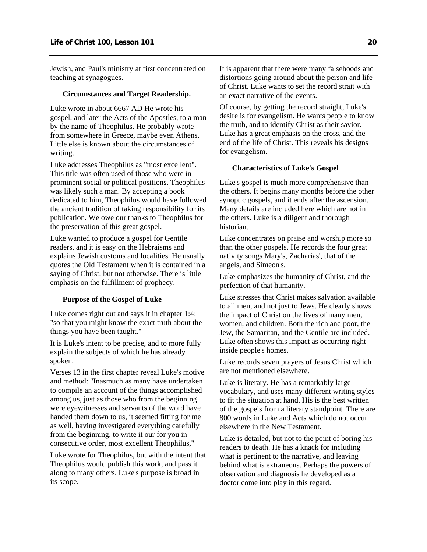Jewish, and Paul's ministry at first concentrated on teaching at synagogues.

## **Circumstances and Target Readership.**

Luke wrote in about 6667 AD He wrote his gospel, and later the Acts of the Apostles, to a man by the name of Theophilus. He probably wrote from somewhere in Greece, maybe even Athens. Little else is known about the circumstances of writing.

Luke addresses Theophilus as "most excellent". This title was often used of those who were in prominent social or political positions. Theophilus was likely such a man. By accepting a book dedicated to him, Theophilus would have followed the ancient tradition of taking responsibility for its publication. We owe our thanks to Theophilus for the preservation of this great gospel.

Luke wanted to produce a gospel for Gentile readers, and it is easy on the Hebraisms and explains Jewish customs and localities. He usually quotes the Old Testament when it is contained in a saying of Christ, but not otherwise. There is little emphasis on the fulfillment of prophecy.

## **Purpose of the Gospel of Luke**

Luke comes right out and says it in chapter 1:4: "so that you might know the exact truth about the things you have been taught."

It is Luke's intent to be precise, and to more fully explain the subjects of which he has already spoken.

Verses 13 in the first chapter reveal Luke's motive and method: "Inasmuch as many have undertaken to compile an account of the things accomplished among us, just as those who from the beginning were eyewitnesses and servants of the word have handed them down to us, it seemed fitting for me as well, having investigated everything carefully from the beginning, to write it our for you in consecutive order, most excellent Theophilus,"

Luke wrote for Theophilus, but with the intent that Theophilus would publish this work, and pass it along to many others. Luke's purpose is broad in its scope.

It is apparent that there were many falsehoods and distortions going around about the person and life of Christ. Luke wants to set the record strait with an exact narrative of the events.

Of course, by getting the record straight, Luke's desire is for evangelism. He wants people to know the truth, and to identify Christ as their savior. Luke has a great emphasis on the cross, and the end of the life of Christ. This reveals his designs for evangelism.

## **Characteristics of Luke's Gospel**

Luke's gospel is much more comprehensive than the others. It begins many months before the other synoptic gospels, and it ends after the ascension. Many details are included here which are not in the others. Luke is a diligent and thorough historian.

Luke concentrates on praise and worship more so than the other gospels. He records the four great nativity songs Mary's, Zacharias', that of the angels, and Simeon's.

Luke emphasizes the humanity of Christ, and the perfection of that humanity.

Luke stresses that Christ makes salvation available to all men, and not just to Jews. He clearly shows the impact of Christ on the lives of many men, women, and children. Both the rich and poor, the Jew, the Samaritan, and the Gentile are included. Luke often shows this impact as occurring right inside people's homes.

Luke records seven prayers of Jesus Christ which are not mentioned elsewhere.

Luke is literary. He has a remarkably large vocabulary, and uses many different writing styles to fit the situation at hand. His is the best written of the gospels from a literary standpoint. There are 800 words in Luke and Acts which do not occur elsewhere in the New Testament.

Luke is detailed, but not to the point of boring his readers to death. He has a knack for including what is pertinent to the narrative, and leaving behind what is extraneous. Perhaps the powers of observation and diagnosis he developed as a doctor come into play in this regard.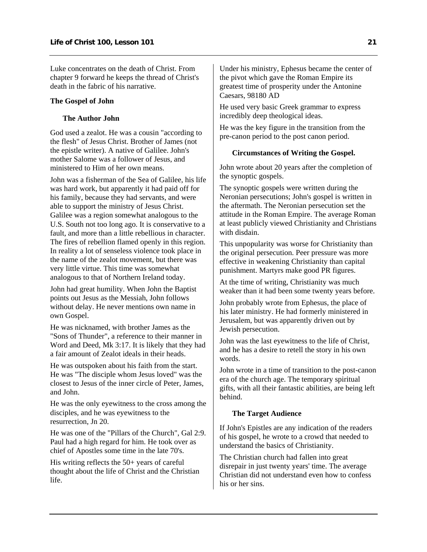Luke concentrates on the death of Christ. From chapter 9 forward he keeps the thread of Christ's death in the fabric of his narrative.

#### **The Gospel of John**

## **The Author John**

God used a zealot. He was a cousin "according to the flesh" of Jesus Christ. Brother of James (not the epistle writer). A native of Galilee. John's mother Salome was a follower of Jesus, and ministered to Him of her own means.

John was a fisherman of the Sea of Galilee, his life was hard work, but apparently it had paid off for his family, because they had servants, and were able to support the ministry of Jesus Christ. Galilee was a region somewhat analogous to the U.S. South not too long ago. It is conservative to a fault, and more than a little rebellious in character. The fires of rebellion flamed openly in this region. In reality a lot of senseless violence took place in the name of the zealot movement, but there was very little virtue. This time was somewhat analogous to that of Northern Ireland today.

John had great humility. When John the Baptist points out Jesus as the Messiah, John follows without delay. He never mentions own name in own Gospel.

He was nicknamed, with brother James as the "Sons of Thunder", a reference to their manner in Word and Deed, Mk 3:17. It is likely that they had a fair amount of Zealot ideals in their heads.

He was outspoken about his faith from the start. He was "The disciple whom Jesus loved" was the closest to Jesus of the inner circle of Peter, James, and John.

He was the only eyewitness to the cross among the disciples, and he was eyewitness to the resurrection, Jn 20.

He was one of the "Pillars of the Church", Gal 2:9. Paul had a high regard for him. He took over as chief of Apostles some time in the late 70's.

His writing reflects the 50+ years of careful thought about the life of Christ and the Christian life.

Under his ministry, Ephesus became the center of the pivot which gave the Roman Empire its greatest time of prosperity under the Antonine Caesars, 98180 AD

He used very basic Greek grammar to express incredibly deep theological ideas.

He was the key figure in the transition from the pre-canon period to the post canon period.

## **Circumstances of Writing the Gospel.**

John wrote about 20 years after the completion of the synoptic gospels.

The synoptic gospels were written during the Neronian persecutions; John's gospel is written in the aftermath. The Neronian persecution set the attitude in the Roman Empire. The average Roman at least publicly viewed Christianity and Christians with disdain.

This unpopularity was worse for Christianity than the original persecution. Peer pressure was more effective in weakening Christianity than capital punishment. Martyrs make good PR figures.

At the time of writing, Christianity was much weaker than it had been some twenty years before.

John probably wrote from Ephesus, the place of his later ministry. He had formerly ministered in Jerusalem, but was apparently driven out by Jewish persecution.

John was the last eyewitness to the life of Christ, and he has a desire to retell the story in his own words.

John wrote in a time of transition to the post-canon era of the church age. The temporary spiritual gifts, with all their fantastic abilities, are being left behind.

#### **The Target Audience**

If John's Epistles are any indication of the readers of his gospel, he wrote to a crowd that needed to understand the basics of Christianity.

The Christian church had fallen into great disrepair in just twenty years' time. The average Christian did not understand even how to confess his or her sins.